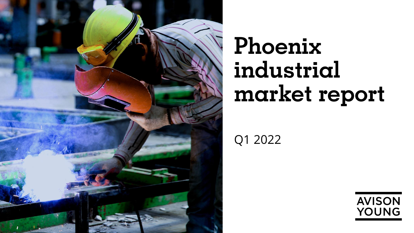

# **Phoenix industrial market report**

Q1 2022

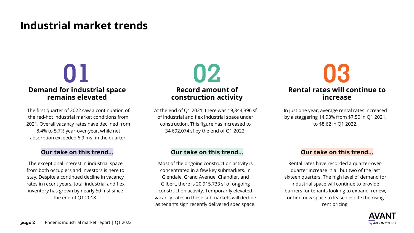### **Industrial market trends**

# **Demand for industrial space remains elevated**

The first quarter of 2022 saw a continuation of the red-hot industrial market conditions from 2021. Overall vacancy rates have declined from 8.4% to 5.7% year-over-year, while net absorption exceeded 6.9 msf in the quarter.

The exceptional interest in industrial space from both occupiers and investors is here to stay. Despite a continued decline in vacancy rates in recent years, total industrial and flex inventory has grown by nearly 50 msf since the end of Q1 2018.



At the end of Q1 2021, there was 19,344,396 sf of industrial and flex industrial space under construction. This figure has increased to 34,692,074 sf by the end of Q1 2022.

Most of the ongoing construction activity is concentrated in a few key submarkets. In Glendale, Grand Avenue, Chandler, and Gilbert, there is 20,915,733 sf of ongoing construction activity. Temporarily elevated vacancy rates in these submarkets will decline as tenants sign recently delivered spec space.



In just one year, average rental rates increased by a staggering 14.93% from \$7.50 in Q1 2021, to \$8.62 in Q1 2022.

### **Our take on this trend… Our take on this trend… Our take on this trend…**

Rental rates have recorded a quarter-overquarter increase in all but two of the last sixteen quarters. The high level of demand for industrial space will continue to provide barriers for tenants looking to expand, renew, or find new space to lease despite the rising rent pricing.

![](_page_1_Picture_13.jpeg)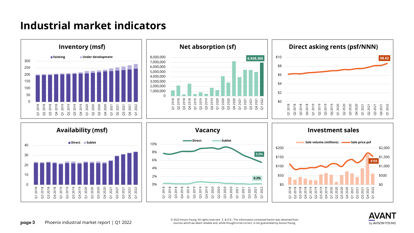### **Industrial market indicators**

![](_page_2_Figure_1.jpeg)

![](_page_2_Picture_2.jpeg)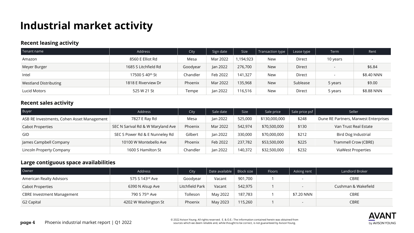## **Industrial market activity**

### **Recent leasing activity**

| Tenant name                  | Address              | City     | Sign date | <b>Size</b> | Transaction type | Lease type | Term     | Rent       |
|------------------------------|----------------------|----------|-----------|-------------|------------------|------------|----------|------------|
| Amazon                       | 8560 E Elliot Rd     | Mesa     | Mar 2022  | 1,194,923   | New              | Direct     | 10 years |            |
| Meyer Burger                 | 1685 S Litchfield Rd | Goodyear | Jan 2022  | 276,700     | <b>New</b>       | Direct     |          | \$6.84     |
| Intel                        | 17500 S 40th St      | Chandler | Feb 2022  | 141,327     | New              | Direct     |          | \$8.40 NNN |
| <b>Westland Distributing</b> | 1818 E Riverview Dr  | Phoenix  | Mar 2022  | 135,968     | <b>New</b>       | Sublease   | 5 years  | \$9.00     |
| Lucid Motors                 | 525 W 21 St          | Tempe    | Jan 2022  | 116,516     | New              | Direct     | 5 years  | \$8.88 NNN |

### **Recent sales activity**

| Buyer                                      | Address                           | City     | Sale date | <b>Size</b> | Sale price    | Sale price psf | Seller                                |
|--------------------------------------------|-----------------------------------|----------|-----------|-------------|---------------|----------------|---------------------------------------|
| ASB RE Investments, Cohen Asset Management | 7827 E Ray Rd                     | Mesa     | Jan 2022  | 525,000     | \$130,000,000 | \$248          | Dune RE Partners, Marwest Enterprises |
| <b>Cabot Properties</b>                    | SEC N Sarival Rd & W Maryland Ave | Phoenix  | Mar 2022  | 542.974     | \$70,500,000  | \$130          | Van Trust Real Estate                 |
| GID                                        | SEC S Power Rd & E Nunneley Rd    | Gilbert  | Jan 2022  | 330,000     | \$70,000,000  | \$212          | <b>Bird Dog Industrial</b>            |
| James Campbell Company                     | 10100 W Montebello Ave            | Phoenix  | Feb 2022  | 237.782     | \$53,500,000  | \$225          | Trammell Crow (CBRE)                  |
| Lincoln Property Company                   | 1600 S Hamilton St                | Chandler | Jan 2022  | 140,372     | \$32,500,000  | \$232          | <b>ViaWest Properties</b>             |

### **Large contiguous space availabilities**

| Owner                             | Address              | City            | Date available $ $ Block size |         | Floors | Asking rent              | Landlord Broker     |
|-----------------------------------|----------------------|-----------------|-------------------------------|---------|--------|--------------------------|---------------------|
| American Realty Advisors          | 575 S 143rd Ave      | Goodyear        | Vacant                        | 901,700 |        |                          | <b>CBRE</b>         |
| <b>Cabot Properties</b>           | 6390 N Alsup Ave     | Litchfield Park | Vacant                        | 542,975 |        |                          | Cushman & Wakefield |
| <b>CBRE Investment Management</b> | 790 S 75th Ave       | Tolleson        | May 2022                      | 187,783 |        | \$7.20 NNN               | <b>CBRE</b>         |
| G2 Capital                        | 4202 W Washington St | Phoenix         | May 2023                      | 115,260 |        | $\overline{\phantom{a}}$ | <b>CBRE</b>         |

![](_page_3_Picture_7.jpeg)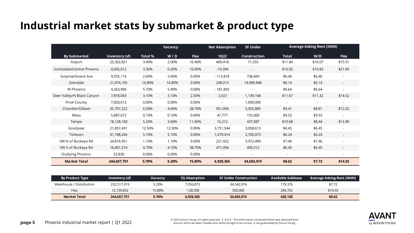### **Industrial market stats by submarket & product type**

|                            |                | <b>Vacancy</b> |        |             | <b>Net Absorption</b>    | <b>SF Under</b>     | <b>Average Asking Rent (NNN)</b> |                          |             |
|----------------------------|----------------|----------------|--------|-------------|--------------------------|---------------------|----------------------------------|--------------------------|-------------|
| <b>By Submarket</b>        | Inventory (sf) | Total %        | W/D    | <b>Flex</b> | <b>1Q22</b>              | <b>Construction</b> | <b>Total</b>                     | W/D                      | <b>Flex</b> |
| Airport                    | 25,302,821     | 3.40%          | 2.00%  | 16.40%      | 409,418                  | 71,555              | \$11.84                          | \$10.07                  | \$15.91     |
| Scottsdale/Central Phoenix | 4,692,012      | 3.30%          | 0.20%  | 16.00%      | $-19,394$                | $\sim$              | \$16.92                          | \$10.83                  | \$21.89     |
| Surprise/Grand Ave         | 9,555,116      | 2.60%          | 2.60%  | 0.00%       | $-113,818$               | 736,843             | \$6.40                           | \$6.40                   |             |
| Glendale                   | 21,074,105     | 14.80%         | 14.80% | 0.00%       | 298,015                  | 14,989,848          | \$6.14                           | \$6.14                   |             |
| W Phoenix                  | 4,263,996      | 5.70%          | 5.90%  | 0.00%       | $-181,892$               |                     | \$6.64                           | \$6.64                   |             |
| Deer Valley/N Black Canyon | 7,818,043      | 3.10%          | 3.10%  | 2.50%       | $-2,021$                 | 1,149,168           | \$11.67                          | \$11.32                  | \$14.52     |
| <b>Pinal County</b>        | 7,820,612      | 0.00%          | 0.00%  | 0.00%       | $\blacksquare$           | 1,000,000           | $\sim$                           | $\sim$                   |             |
| Chandler/Gilbert           | 35,797,222     | 6.50%          | 4.60%  | 28.70%      | 951,094                  | 5,925,885           | \$9.41                           | \$8.81                   | \$12.02     |
| Mesa                       | 5,887,672      | 0.10%          | 0.10%  | 0.00%       | 47,777                   | 155,000             | \$9.53                           | \$9.53                   |             |
| Tempe                      | 18,128,100     | 5.20%          | 3.60%  | 11.60%      | 15,212                   | 437,087             | \$10.68                          | \$8.44                   | \$13.90     |
| Goodyear                   | 21,857,431     | 12.50%         | 12.50% | 0.00%       | 3,751,544                | 3,058,613           | \$6.45                           | \$6.45                   |             |
| Tolleson                   | 41,188,266     | 5.10%          | 5.10%  | 0.00%       | 1,079,414                | 2,700,073           | \$6.24                           | \$6.24                   |             |
| SW N of Buckeye Rd         | 24,816,951     | 1.10%          | 1.10%  | 0.00%       | 221,922                  | 3,972,490           | \$7.46                           | \$7.46                   |             |
| SW S of Buckeye Rd         | 16,401,574     | 4.70%          | 4.10%  | 38.70%      | 471,094                  | 495,512             | \$6.45                           | \$6.45                   |             |
| Outlying Phoenix           | 53,830         | 0.00%          | 0.00%  | 0.00%       | $\overline{\phantom{a}}$ |                     | $\overline{\phantom{a}}$         | $\overline{\phantom{a}}$ |             |
| <b>Market Total</b>        | 244,657,751    | 5.70%          | 5.20%  | 15.80%      | 6,928,365                | 34,692,074          | \$8.62                           | \$7.72                   | \$14.55     |

| <b>By Product Type</b>   | Inventory (sf) | Vacancv | <b>1Q Absorption</b> | <b>SF Under Construction</b> | <b>Available Sublease</b> | <b>Average Asking Rent (NNN)</b> |
|--------------------------|----------------|---------|----------------------|------------------------------|---------------------------|----------------------------------|
| Warehouse / Distribution | 232.517.919    | 5.20%   | 7,056,873            | 34,342,074                   | 179.376                   | \$7.72                           |
| Flex                     | 12,139,832     | 15.80%  | $-128.508$           | 350,000                      | 240.752                   | \$14.55                          |
| Market Total             | 244,657,751    | 5.70%   | 6,928,365            | 34,692,074                   | 420.128                   | \$8.62                           |

![](_page_4_Picture_3.jpeg)